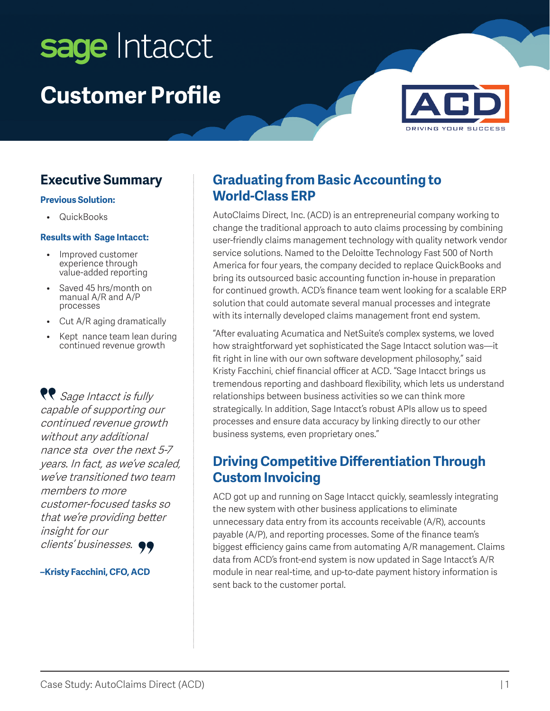# sage Intacct **Customer Profile**



### **Executive Summary**

#### **Previous Solution:**

• QuickBooks

#### **Results with Sage Intacct:**

- Improved customer experience through value-added reporting
- Saved 45 hrs/month on manual A/R and A/P processes
- Cut A/R aging dramatically
- Kept nance team lean during continued revenue growth

**RP** Sage Intacct is fully capable of supporting our continued revenue growth without any additional nance sta over the next 5-7 years. In fact, as we've scaled, we've transitioned two team members to more customer-focused tasks so that we're providing better insight for our clients' businesses.  $\bullet \bullet$ 

#### **–Kristy Facchini, CFO, ACD**

#### **Graduating from Basic Accounting to World-Class ERP**

AutoClaims Direct, Inc. (ACD) is an entrepreneurial company working to change the traditional approach to auto claims processing by combining user-friendly claims management technology with quality network vendor service solutions. Named to the Deloitte Technology Fast 500 of North America for four years, the company decided to replace QuickBooks and bring its outsourced basic accounting function in-house in preparation for continued growth. ACD's finance team went looking for a scalable ERP solution that could automate several manual processes and integrate with its internally developed claims management front end system.

"After evaluating Acumatica and NetSuite's complex systems, we loved how straightforward yet sophisticated the Sage Intacct solution was—it fit right in line with our own software development philosophy," said Kristy Facchini, chief financial officer at ACD. "Sage Intacct brings us tremendous reporting and dashboard flexibility, which lets us understand relationships between business activities so we can think more strategically. In addition, Sage Intacct's robust APIs allow us to speed processes and ensure data accuracy by linking directly to our other business systems, even proprietary ones."

### **Driving Competitive Differentiation Through Custom Invoicing**

ACD got up and running on Sage Intacct quickly, seamlessly integrating the new system with other business applications to eliminate unnecessary data entry from its accounts receivable (A/R), accounts payable (A/P), and reporting processes. Some of the finance team's biggest efficiency gains came from automating A/R management. Claims data from ACD's front-end system is now updated in Sage Intacct's A/R module in near real-time, and up-to-date payment history information is sent back to the customer portal.